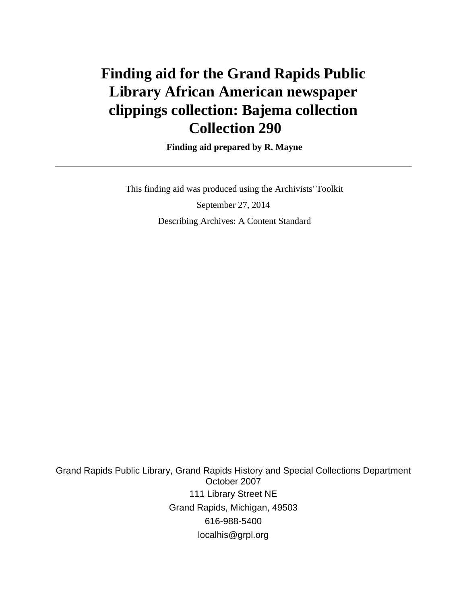# **Finding aid for the Grand Rapids Public Library African American newspaper clippings collection: Bajema collection Collection 290**

 **Finding aid prepared by R. Mayne**

 This finding aid was produced using the Archivists' Toolkit September 27, 2014 Describing Archives: A Content Standard

Grand Rapids Public Library, Grand Rapids History and Special Collections Department October 2007 111 Library Street NE Grand Rapids, Michigan, 49503 616-988-5400 localhis@grpl.org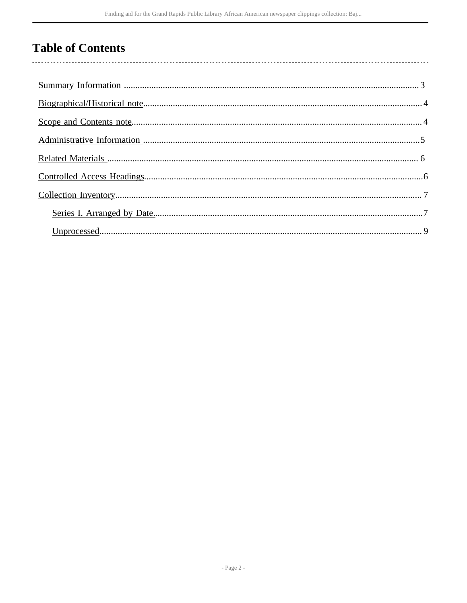# **Table of Contents**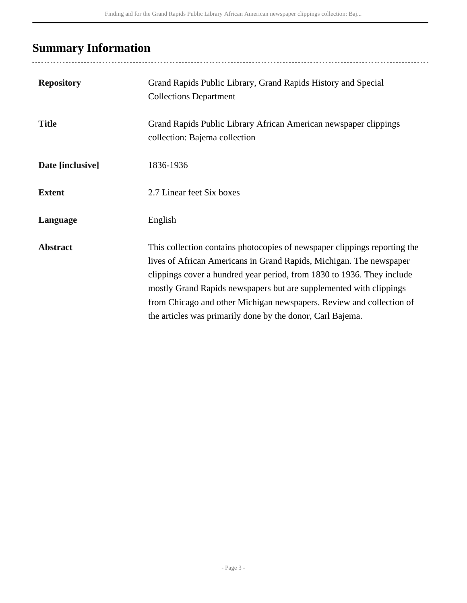# <span id="page-2-0"></span>**Summary Information**

| <b>Repository</b> | Grand Rapids Public Library, Grand Rapids History and Special<br><b>Collections Department</b>                                                                                                                                                                                                                                                                                                                                         |
|-------------------|----------------------------------------------------------------------------------------------------------------------------------------------------------------------------------------------------------------------------------------------------------------------------------------------------------------------------------------------------------------------------------------------------------------------------------------|
| <b>Title</b>      | Grand Rapids Public Library African American newspaper clippings<br>collection: Bajema collection                                                                                                                                                                                                                                                                                                                                      |
| Date [inclusive]  | 1836-1936                                                                                                                                                                                                                                                                                                                                                                                                                              |
| <b>Extent</b>     | 2.7 Linear feet Six boxes                                                                                                                                                                                                                                                                                                                                                                                                              |
| Language          | English                                                                                                                                                                                                                                                                                                                                                                                                                                |
| <b>Abstract</b>   | This collection contains photocopies of newspaper clippings reporting the<br>lives of African Americans in Grand Rapids, Michigan. The newspaper<br>clippings cover a hundred year period, from 1830 to 1936. They include<br>mostly Grand Rapids newspapers but are supplemented with clippings<br>from Chicago and other Michigan newspapers. Review and collection of<br>the articles was primarily done by the donor, Carl Bajema. |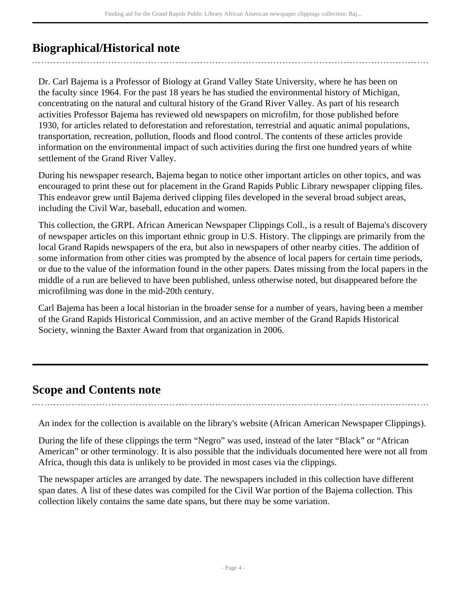## <span id="page-3-0"></span>**Biographical/Historical note**

Dr. Carl Bajema is a Professor of Biology at Grand Valley State University, where he has been on the faculty since 1964. For the past 18 years he has studied the environmental history of Michigan, concentrating on the natural and cultural history of the Grand River Valley. As part of his research activities Professor Bajema has reviewed old newspapers on microfilm, for those published before 1930, for articles related to deforestation and reforestation, terrestrial and aquatic animal populations, transportation, recreation, pollution, floods and flood control. The contents of these articles provide information on the environmental impact of such activities during the first one hundred years of white settlement of the Grand River Valley.

During his newspaper research, Bajema began to notice other important articles on other topics, and was encouraged to print these out for placement in the Grand Rapids Public Library newspaper clipping files. This endeavor grew until Bajema derived clipping files developed in the several broad subject areas, including the Civil War, baseball, education and women.

This collection, the GRPL African American Newspaper Clippings Coll., is a result of Bajema's discovery of newspaper articles on this important ethnic group in U.S. History. The clippings are primarily from the local Grand Rapids newspapers of the era, but also in newspapers of other nearby cities. The addition of some information from other cities was prompted by the absence of local papers for certain time periods, or due to the value of the information found in the other papers. Dates missing from the local papers in the middle of a run are believed to have been published, unless otherwise noted, but disappeared before the microfilming was done in the mid-20th century.

Carl Bajema has been a local historian in the broader sense for a number of years, having been a member of the Grand Rapids Historical Commission, and an active member of the Grand Rapids Historical Society, winning the Baxter Award from that organization in 2006.

### <span id="page-3-1"></span>**Scope and Contents note**

An index for the collection is available on the library's website (African American Newspaper Clippings).

During the life of these clippings the term "Negro" was used, instead of the later "Black" or "African American" or other terminology. It is also possible that the individuals documented here were not all from Africa, though this data is unlikely to be provided in most cases via the clippings.

The newspaper articles are arranged by date. The newspapers included in this collection have different span dates. A list of these dates was compiled for the Civil War portion of the Bajema collection. This collection likely contains the same date spans, but there may be some variation.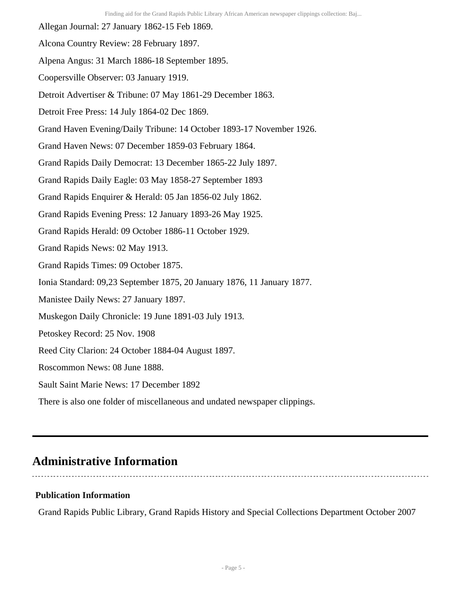- Allegan Journal: 27 January 1862-15 Feb 1869.
- Alcona Country Review: 28 February 1897.
- Alpena Angus: 31 March 1886-18 September 1895.
- Coopersville Observer: 03 January 1919.
- Detroit Advertiser & Tribune: 07 May 1861-29 December 1863.
- Detroit Free Press: 14 July 1864-02 Dec 1869.
- Grand Haven Evening/Daily Tribune: 14 October 1893-17 November 1926.
- Grand Haven News: 07 December 1859-03 February 1864.
- Grand Rapids Daily Democrat: 13 December 1865-22 July 1897.
- Grand Rapids Daily Eagle: 03 May 1858-27 September 1893
- Grand Rapids Enquirer & Herald: 05 Jan 1856-02 July 1862.
- Grand Rapids Evening Press: 12 January 1893-26 May 1925.
- Grand Rapids Herald: 09 October 1886-11 October 1929.
- Grand Rapids News: 02 May 1913.
- Grand Rapids Times: 09 October 1875.
- Ionia Standard: 09,23 September 1875, 20 January 1876, 11 January 1877.
- Manistee Daily News: 27 January 1897.
- Muskegon Daily Chronicle: 19 June 1891-03 July 1913.
- Petoskey Record: 25 Nov. 1908
- Reed City Clarion: 24 October 1884-04 August 1897.
- Roscommon News: 08 June 1888.
- Sault Saint Marie News: 17 December 1892

There is also one folder of miscellaneous and undated newspaper clippings.

### <span id="page-4-0"></span>**Administrative Information**

### **Publication Information**

Grand Rapids Public Library, Grand Rapids History and Special Collections Department October 2007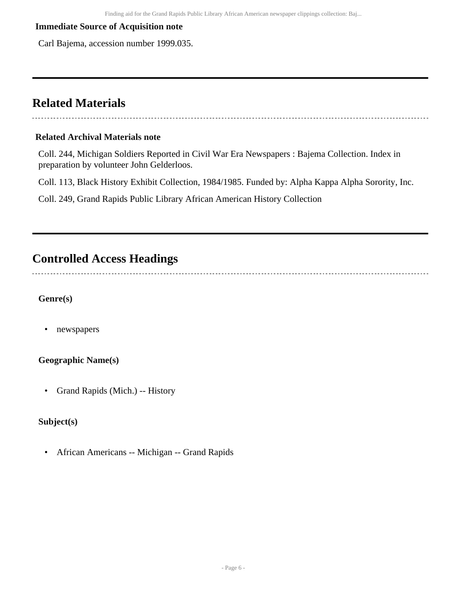### **Immediate Source of Acquisition note**

Carl Bajema, accession number 1999.035.

### <span id="page-5-0"></span>**Related Materials**

#### **Related Archival Materials note**

Coll. 244, Michigan Soldiers Reported in Civil War Era Newspapers : Bajema Collection. Index in preparation by volunteer John Gelderloos.

Coll. 113, Black History Exhibit Collection, 1984/1985. Funded by: Alpha Kappa Alpha Sorority, Inc.

Coll. 249, Grand Rapids Public Library African American History Collection

### <span id="page-5-1"></span>**Controlled Access Headings**

### **Genre(s)**

• newspapers

### **Geographic Name(s)**

• Grand Rapids (Mich.) -- History

### **Subject(s)**

• African Americans -- Michigan -- Grand Rapids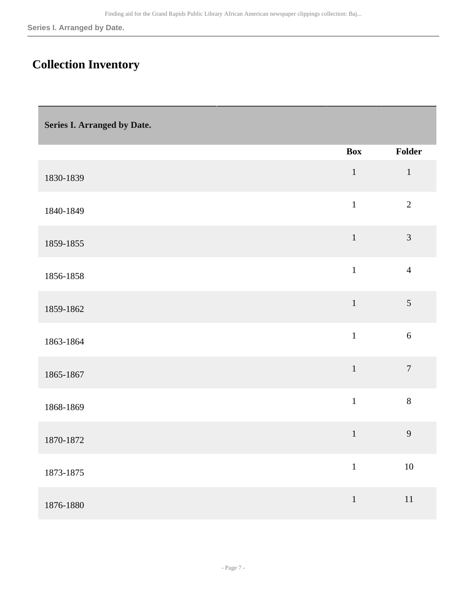**Series I. Arranged by Date.**

## <span id="page-6-0"></span>**Collection Inventory**

<span id="page-6-1"></span>**Series I. Arranged by Date.** 

|           | <b>Box</b>   | Folder           |
|-----------|--------------|------------------|
| 1830-1839 | $\,1\,$      | $\,1\,$          |
| 1840-1849 | $\mathbf{1}$ | $\overline{2}$   |
| 1859-1855 | $\,1\,$      | $\overline{3}$   |
| 1856-1858 | $\mathbf{1}$ | $\overline{4}$   |
| 1859-1862 | $\mathbf 1$  | $\mathfrak{S}$   |
| 1863-1864 | $\mathbf 1$  | 6                |
| 1865-1867 | $\mathbf 1$  | $\boldsymbol{7}$ |
| 1868-1869 | $\mathbf{1}$ | $\,8\,$          |
| 1870-1872 | $\mathbf{1}$ | 9                |
| 1873-1875 | $\mathbf{1}$ | $10\,$           |
| 1876-1880 | $\,1\,$      | $11\,$           |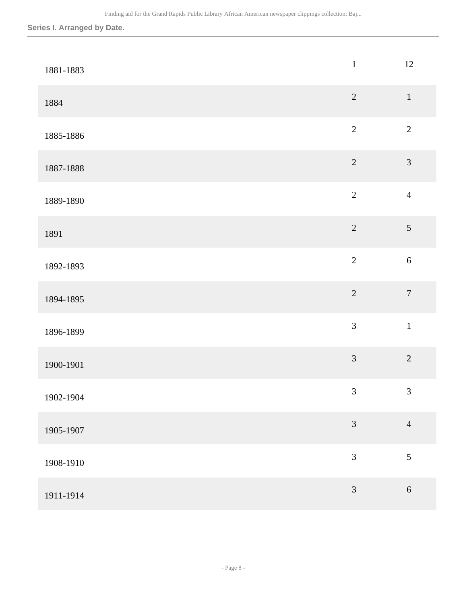#### **Series I. Arranged by Date.**

| 1881-1883 | $\,1\,$        | $12\,$           |
|-----------|----------------|------------------|
| 1884      | $\sqrt{2}$     | $\,1\,$          |
| 1885-1886 | $\overline{2}$ | $\overline{2}$   |
| 1887-1888 | $\sqrt{2}$     | $\overline{3}$   |
| 1889-1890 | $\overline{2}$ | $\overline{4}$   |
| 1891      | $\overline{2}$ | $\overline{5}$   |
| 1892-1893 | $\overline{2}$ | $\sqrt{6}$       |
| 1894-1895 | $\overline{2}$ | $\boldsymbol{7}$ |
| 1896-1899 | $\overline{3}$ | $\mathbf 1$      |
| 1900-1901 | $\mathfrak{Z}$ | $\sqrt{2}$       |
| 1902-1904 | $\mathfrak{Z}$ | $\mathfrak{Z}$   |
| 1905-1907 | $\overline{3}$ | $\overline{4}$   |
| 1908-1910 | $\mathfrak{Z}$ | 5                |
| 1911-1914 | $\mathfrak{Z}$ | $\sqrt{6}$       |